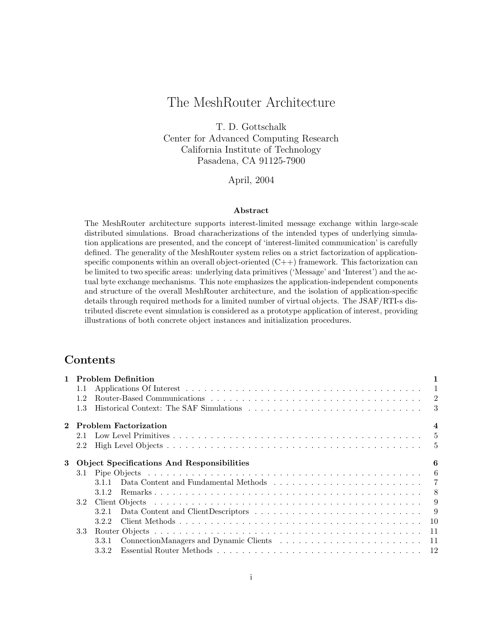# The MeshRouter Architecture

T. D. Gottschalk Center for Advanced Computing Research California Institute of Technology Pasadena, CA 91125-7900

### April, 2004

#### Abstract

The MeshRouter architecture supports interest-limited message exchange within large-scale distributed simulations. Broad characherizations of the intended types of underlying simulation applications are presented, and the concept of 'interest-limited communication' is carefully defined. The generality of the MeshRouter system relies on a strict factorization of applicationspecific components within an overall object-oriented  $(C++)$  framework. This factorization can be limited to two specific areas: underlying data primitives ('Message' and 'Interest') and the actual byte exchange mechanisms. This note emphasizes the application-independent components and structure of the overall MeshRouter architecture, and the isolation of application-specific details through required methods for a limited number of virtual objects. The JSAF/RTI-s distributed discrete event simulation is considered as a prototype application of interest, providing illustrations of both concrete object instances and initialization procedures.

# Contents

|          |         | 1 Problem Definition                                                                                                                         |              |
|----------|---------|----------------------------------------------------------------------------------------------------------------------------------------------|--------------|
|          | $1.1\,$ |                                                                                                                                              | $\mathbf{1}$ |
|          | 12      |                                                                                                                                              |              |
|          | 1.3     |                                                                                                                                              |              |
| $\bf{2}$ |         | <b>Problem Factorization</b>                                                                                                                 | 4            |
|          | 2.1     |                                                                                                                                              |              |
|          | 2.2     |                                                                                                                                              |              |
| 3        |         | <b>Object Specifications And Responsibilities</b>                                                                                            | 6            |
|          | 3.1     |                                                                                                                                              |              |
|          |         | Data Content and Fundamental Methods<br>$\hfill\ldots\ldots\ldots\ldots\ldots\ldots\ldots\ldots\ldots\ldots\ldots\ldots\quad\quad7$<br>3.1.1 |              |
|          |         | 3.1.2                                                                                                                                        |              |
|          | 3.2     |                                                                                                                                              | -9           |
|          |         | 3.2.1                                                                                                                                        |              |
|          |         | 3.2.2                                                                                                                                        |              |
|          | 3.3     |                                                                                                                                              |              |
|          |         | 3.3.1                                                                                                                                        |              |
|          |         | 3.3.2                                                                                                                                        |              |
|          |         |                                                                                                                                              |              |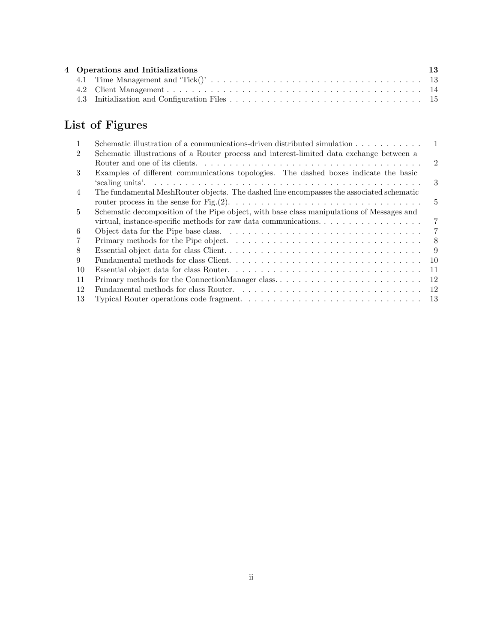| 4 Operations and Initializations |  | 13 |
|----------------------------------|--|----|
|                                  |  |    |
|                                  |  |    |
|                                  |  |    |

# List of Figures

| $\mathbf{1}$   | Schematic illustration of a communications-driven distributed simulation $\dots \dots \dots$                              |                |
|----------------|---------------------------------------------------------------------------------------------------------------------------|----------------|
| $\overline{2}$ | Schematic illustrations of a Router process and interest-limited data exchange between a                                  |                |
|                |                                                                                                                           | $\mathfrak{D}$ |
| 3              | Examples of different communications topologies. The dashed boxes indicate the basic                                      |                |
|                |                                                                                                                           | 3              |
| $\overline{4}$ | The fundamental MeshRouter objects. The dashed line encompasses the associated schematic                                  |                |
|                | router process in the sense for Fig. (2). $\dots \dots \dots \dots \dots \dots \dots \dots \dots \dots \dots \dots \dots$ | $5^{\circ}$    |
| $\overline{5}$ | Schematic decomposition of the Pipe object, with base class manipulations of Messages and                                 |                |
|                | virtual, instance-specific methods for raw data communications. $\dots \dots \dots \dots \dots \dots$                     | 7              |
| 6              |                                                                                                                           | 7              |
| $\overline{7}$ |                                                                                                                           | 8              |
| 8              |                                                                                                                           | -9             |
| 9              |                                                                                                                           | 10             |
| 10             |                                                                                                                           | 11             |
| 11             | Primary methods for the ConnectionManager class                                                                           | 12             |
| 12             |                                                                                                                           | 12             |
| 13             |                                                                                                                           |                |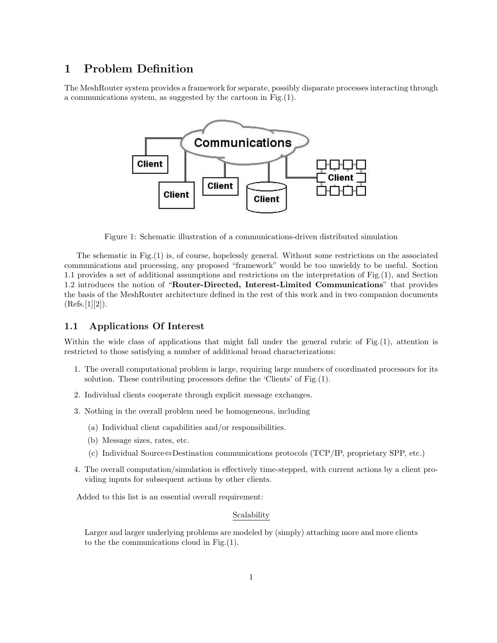# 1 Problem Definition

The MeshRouter system provides a framework for separate, possibly disparate processes interacting through a communications system, as suggested by the cartoon in Fig.(1).



Figure 1: Schematic illustration of a communications-driven distributed simulation

The schematic in Fig.(1) is, of course, hopelessly general. Without some restrictions on the associated communications and processing, any proposed "framework" would be too unwieldy to be useful. Section 1.1 provides a set of additional assumptions and restrictions on the interpretation of Fig.(1), and Section 1.2 introduces the notion of "Router-Directed, Interest-Limited Communications" that provides the basis of the MeshRouter architecture defined in the rest of this work and in two companion documents  $(Refs.[1][2])$ .

# 1.1 Applications Of Interest

Within the wide class of applications that might fall under the general rubric of Fig.(1), attention is restricted to those satisfying a number of additional broad characterizations:

- 1. The overall computational problem is large, requiring large numbers of coordinated processors for its solution. These contributing processors define the 'Clients' of Fig.(1).
- 2. Individual clients cooperate through explicit message exchanges.
- 3. Nothing in the overall problem need be homogeneous, including
	- (a) Individual client capabilities and/or responsibilities.
	- (b) Message sizes, rates, etc.
	- (c) Individual Source⇔Destination communications protocols (TCP/IP, proprietary SPP, etc.)
- 4. The overall computation/simulation is effectively time-stepped, with current actions by a client providing inputs for subsequent actions by other clients.

Added to this list is an essential overall requirement:

### Scalability

Larger and larger underlying problems are modeled by (simply) attaching more and more clients to the the communications cloud in Fig.(1).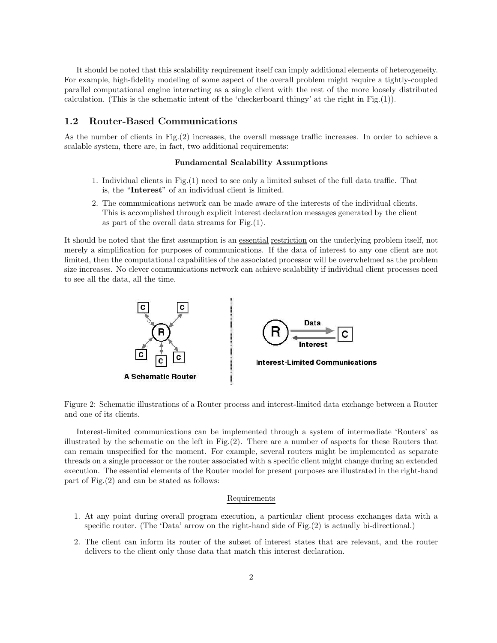It should be noted that this scalability requirement itself can imply additional elements of heterogeneity. For example, high-fidelity modeling of some aspect of the overall problem might require a tightly-coupled parallel computational engine interacting as a single client with the rest of the more loosely distributed calculation. (This is the schematic intent of the 'checkerboard thingy' at the right in Fig.(1)).

### 1.2 Router-Based Communications

As the number of clients in Fig.(2) increases, the overall message traffic increases. In order to achieve a scalable system, there are, in fact, two additional requirements:

#### Fundamental Scalability Assumptions

- 1. Individual clients in Fig.(1) need to see only a limited subset of the full data traffic. That is, the "Interest" of an individual client is limited.
- 2. The communications network can be made aware of the interests of the individual clients. This is accomplished through explicit interest declaration messages generated by the client as part of the overall data streams for Fig.(1).

It should be noted that the first assumption is an <u>essential restriction</u> on the underlying problem itself, not merely a simplification for purposes of communications. If the data of interest to any one client are not limited, then the computational capabilities of the associated processor will be overwhelmed as the problem size increases. No clever communications network can achieve scalability if individual client processes need to see all the data, all the time.



Figure 2: Schematic illustrations of a Router process and interest-limited data exchange between a Router and one of its clients.

Interest-limited communications can be implemented through a system of intermediate 'Routers' as illustrated by the schematic on the left in Fig.(2). There are a number of aspects for these Routers that can remain unspecified for the moment. For example, several routers might be implemented as separate threads on a single processor or the router associated with a specific client might change during an extended execution. The essential elements of the Router model for present purposes are illustrated in the right-hand part of Fig.(2) and can be stated as follows:

#### Requirements

- 1. At any point during overall program execution, a particular client process exchanges data with a specific router. (The 'Data' arrow on the right-hand side of Fig.(2) is actually bi-directional.)
- 2. The client can inform its router of the subset of interest states that are relevant, and the router delivers to the client only those data that match this interest declaration.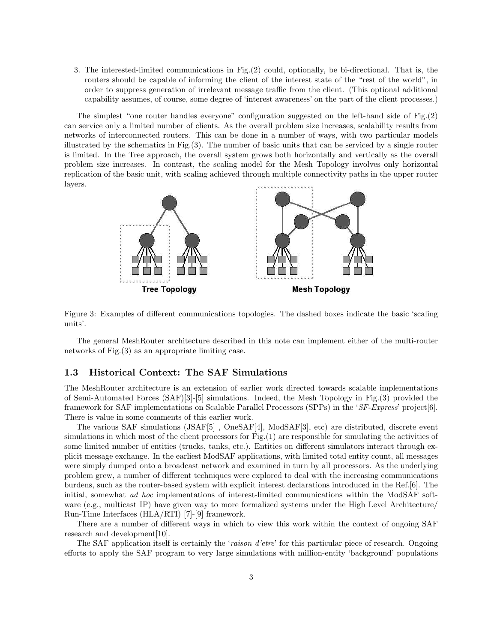3. The interested-limited communications in Fig.(2) could, optionally, be bi-directional. That is, the routers should be capable of informing the client of the interest state of the "rest of the world", in order to suppress generation of irrelevant message traffic from the client. (This optional additional capability assumes, of course, some degree of 'interest awareness' on the part of the client processes.)

The simplest "one router handles everyone" configuration suggested on the left-hand side of Fig.(2) can service only a limited number of clients. As the overall problem size increases, scalability results from networks of interconnected routers. This can be done in a number of ways, with two particular models illustrated by the schematics in Fig.(3). The number of basic units that can be serviced by a single router is limited. In the Tree approach, the overall system grows both horizontally and vertically as the overall problem size increases. In contrast, the scaling model for the Mesh Topology involves only horizontal replication of the basic unit, with scaling achieved through multiple connectivity paths in the upper router layers.



Figure 3: Examples of different communications topologies. The dashed boxes indicate the basic 'scaling units'.

The general MeshRouter architecture described in this note can implement either of the multi-router networks of Fig.(3) as an appropriate limiting case.

## 1.3 Historical Context: The SAF Simulations

The MeshRouter architecture is an extension of earlier work directed towards scalable implementations of Semi-Automated Forces (SAF)[3]-[5] simulations. Indeed, the Mesh Topology in Fig.(3) provided the framework for SAF implementations on Scalable Parallel Processors (SPPs) in the 'SF-Express' project[6]. There is value in some comments of this earlier work.

The various SAF simulations (JSAF[5] , OneSAF[4], ModSAF[3], etc) are distributed, discrete event simulations in which most of the client processors for Fig.(1) are responsible for simulating the activities of some limited number of entities (trucks, tanks, etc.). Entities on different simulators interact through explicit message exchange. In the earliest ModSAF applications, with limited total entity count, all messages were simply dumped onto a broadcast network and examined in turn by all processors. As the underlying problem grew, a number of different techniques were explored to deal with the increasing communications burdens, such as the router-based system with explicit interest declarations introduced in the Ref.[6]. The initial, somewhat ad hoc implementations of interest-limited communications within the ModSAF software (e.g., multicast IP) have given way to more formalized systems under the High Level Architecture/ Run-Time Interfaces (HLA/RTI) [7]-[9] framework.

There are a number of different ways in which to view this work within the context of ongoing SAF research and development[10].

The SAF application itself is certainly the 'raison d'etre' for this particular piece of research. Ongoing efforts to apply the SAF program to very large simulations with million-entity 'background' populations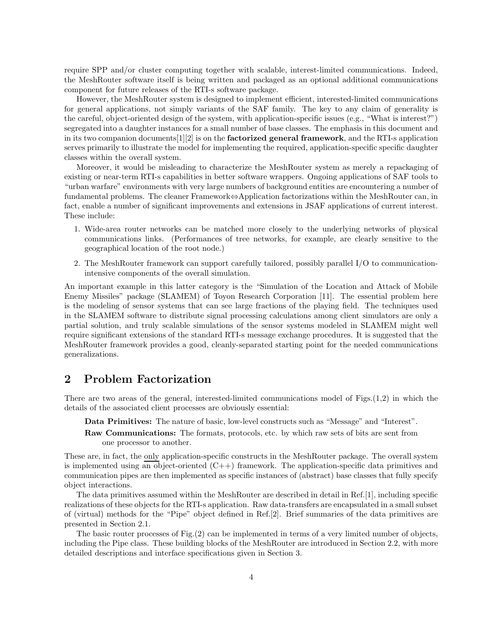require SPP and/or cluster computing together with scalable, interest-limited communications. Indeed, the MeshRouter software itself is being written and packaged as an optional additional communications component for future releases of the RTI-s software package.

However, the MeshRouter system is designed to implement efficient, interested-limited communications for general applications, not simply variants of the SAF family. The key to any claim of generality is the careful, object-oriented design of the system, with application-specific issues (e.g., "What is interest?") segregated into a daughter instances for a small number of base classes. The emphasis in this document and in its two companion documents  $[1][2]$  is on the **factorized general framework**, and the RTI-s application serves primarily to illustrate the model for implementing the required, application-specific specific daughter classes within the overall system.

Moreover, it would be misleading to characterize the MeshRouter system as merely a repackaging of existing or near-term RTI-s capabilities in better software wrappers. Ongoing applications of SAF tools to "urban warfare" environments with very large numbers of background entities are encountering a number of fundamental problems. The cleaner Framework⇔Application factorizations within the MeshRouter can, in fact, enable a number of significant improvements and extensions in JSAF applications of current interest. These include:

- 1. Wide-area router networks can be matched more closely to the underlying networks of physical communications links. (Performances of tree networks, for example, are clearly sensitive to the geographical location of the root node.)
- 2. The MeshRouter framework can support carefully tailored, possibly parallel I/O to communicationintensive components of the overall simulation.

An important example in this latter category is the "Simulation of the Location and Attack of Mobile Enemy Missiles" package (SLAMEM) of Toyon Research Corporation [11]. The essential problem here is the modeling of sensor systems that can see large fractions of the playing field. The techniques used in the SLAMEM software to distribute signal processing calculations among client simulators are only a partial solution, and truly scalable simulations of the sensor systems modeled in SLAMEM might well require significant extensions of the standard RTI-s message exchange procedures. It is suggested that the MeshRouter framework provides a good, cleanly-separated starting point for the needed communications generalizations.

# 2 Problem Factorization

There are two areas of the general, interested-limited communications model of Figs.(1,2) in which the details of the associated client processes are obviously essential:

- Data Primitives: The nature of basic, low-level constructs such as "Message" and "Interest".
- Raw Communications: The formats, protocols, etc. by which raw sets of bits are sent from one processor to another.

These are, in fact, the only application-specific constructs in the MeshRouter package. The overall system is implemented using an object-oriented  $(C++)$  framework. The application-specific data primitives and communication pipes are then implemented as specific instances of (abstract) base classes that fully specify object interactions.

The data primitives assumed within the MeshRouter are described in detail in Ref.[1], including specific realizations of these objects for the RTI-s application. Raw data-transfers are encapsulated in a small subset of (virtual) methods for the "Pipe" object defined in Ref.[2]. Brief summaries of the data primitives are presented in Section 2.1.

The basic router processes of Fig.(2) can be implemented in terms of a very limited number of objects, including the Pipe class. These building blocks of the MeshRouter are introduced in Section 2.2, with more detailed descriptions and interface specifications given in Section 3.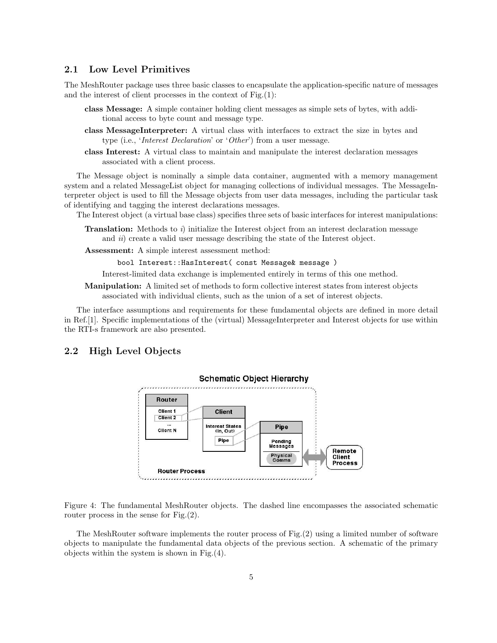# 2.1 Low Level Primitives

The MeshRouter package uses three basic classes to encapsulate the application-specific nature of messages and the interest of client processes in the context of Fig.(1):

- class Message: A simple container holding client messages as simple sets of bytes, with additional access to byte count and message type.
- class MessageInterpreter: A virtual class with interfaces to extract the size in bytes and type (i.e., 'Interest Declaration' or 'Other') from a user message.
- class Interest: A virtual class to maintain and manipulate the interest declaration messages associated with a client process.

The Message object is nominally a simple data container, augmented with a memory management system and a related MessageList object for managing collections of individual messages. The MessageInterpreter object is used to fill the Message objects from user data messages, including the particular task of identifying and tagging the interest declarations messages.

The Interest object (a virtual base class) specifies three sets of basic interfaces for interest manipulations:

- **Translation:** Methods to i) initialize the Interest object from an interest declaration message and *ii*) create a valid user message describing the state of the Interest object.
- Assessment: A simple interest assessment method:

bool Interest::HasInterest( const Message& message )

Interest-limited data exchange is implemented entirely in terms of this one method.

Manipulation: A limited set of methods to form collective interest states from interest objects associated with individual clients, such as the union of a set of interest objects.

The interface assumptions and requirements for these fundamental objects are defined in more detail in Ref.[1]. Specific implementations of the (virtual) MessageInterpreter and Interest objects for use within the RTI-s framework are also presented.

## 2.2 High Level Objects



Figure 4: The fundamental MeshRouter objects. The dashed line encompasses the associated schematic router process in the sense for Fig.(2).

The MeshRouter software implements the router process of Fig.(2) using a limited number of software objects to manipulate the fundamental data objects of the previous section. A schematic of the primary objects within the system is shown in Fig.(4).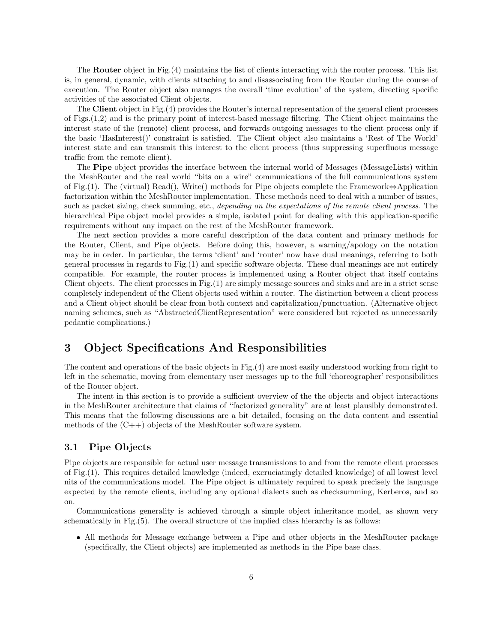The Router object in Fig.(4) maintains the list of clients interacting with the router process. This list is, in general, dynamic, with clients attaching to and disassociating from the Router during the course of execution. The Router object also manages the overall 'time evolution' of the system, directing specific activities of the associated Client objects.

The Client object in Fig.(4) provides the Router's internal representation of the general client processes of Figs.(1,2) and is the primary point of interest-based message filtering. The Client object maintains the interest state of the (remote) client process, and forwards outgoing messages to the client process only if the basic 'HasInterest()' constraint is satisfied. The Client object also maintains a 'Rest of The World' interest state and can transmit this interest to the client process (thus suppressing superfluous message traffic from the remote client).

The **Pipe** object provides the interface between the internal world of Messages (MessageLists) within the MeshRouter and the real world "bits on a wire" communications of the full communications system of Fig.(1). The (virtual) Read(), Write() methods for Pipe objects complete the Framework⇔Application factorization within the MeshRouter implementation. These methods need to deal with a number of issues, such as packet sizing, check summing, etc., depending on the expectations of the remote client process. The hierarchical Pipe object model provides a simple, isolated point for dealing with this application-specific requirements without any impact on the rest of the MeshRouter framework.

The next section provides a more careful description of the data content and primary methods for the Router, Client, and Pipe objects. Before doing this, however, a warning/apology on the notation may be in order. In particular, the terms 'client' and 'router' now have dual meanings, referring to both general processes in regards to Fig.(1) and specific software objects. These dual meanings are not entirely compatible. For example, the router process is implemented using a Router object that itself contains Client objects. The client processes in Fig.(1) are simply message sources and sinks and are in a strict sense completely independent of the Client objects used within a router. The distinction between a client process and a Client object should be clear from both context and capitalization/punctuation. (Alternative object naming schemes, such as "AbstractedClientRepresentation" were considered but rejected as unnecessarily pedantic complications.)

# 3 Object Specifications And Responsibilities

The content and operations of the basic objects in Fig.(4) are most easily understood working from right to left in the schematic, moving from elementary user messages up to the full 'choreographer' responsibilities of the Router object.

The intent in this section is to provide a sufficient overview of the the objects and object interactions in the MeshRouter architecture that claims of "factorized generality" are at least plausibly demonstrated. This means that the following discussions are a bit detailed, focusing on the data content and essential methods of the  $(C++)$  objects of the MeshRouter software system.

### 3.1 Pipe Objects

Pipe objects are responsible for actual user message transmissions to and from the remote client processes of Fig.(1). This requires detailed knowledge (indeed, excruciatingly detailed knowledge) of all lowest level nits of the communications model. The Pipe object is ultimately required to speak precisely the language expected by the remote clients, including any optional dialects such as checksumming, Kerberos, and so on.

Communications generality is achieved through a simple object inheritance model, as shown very schematically in Fig.(5). The overall structure of the implied class hierarchy is as follows:

• All methods for Message exchange between a Pipe and other objects in the MeshRouter package (specifically, the Client objects) are implemented as methods in the Pipe base class.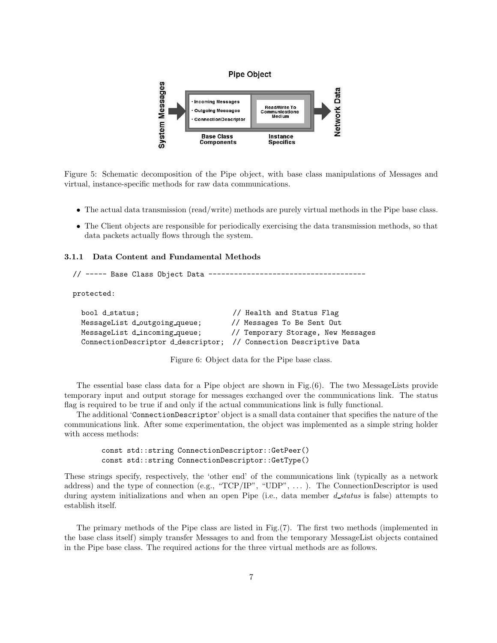

Figure 5: Schematic decomposition of the Pipe object, with base class manipulations of Messages and virtual, instance-specific methods for raw data communications.

- The actual data transmission (read/write) methods are purely virtual methods in the Pipe base class.
- The Client objects are responsible for periodically exercising the data transmission methods, so that data packets actually flows through the system.

#### 3.1.1 Data Content and Fundamental Methods

```
// ----- Base Class Object Data -------------------------------------
```
protected:

| bool d_status;                                                    | // Health and Status Flag          |
|-------------------------------------------------------------------|------------------------------------|
| MessageList d_outgoing_queue;                                     | // Messages To Be Sent Out         |
| MessageList d_incoming_queue;                                     | // Temporary Storage, New Messages |
| ConnectionDescriptor d_descriptor; // Connection Descriptive Data |                                    |

Figure 6: Object data for the Pipe base class.

The essential base class data for a Pipe object are shown in Fig.(6). The two MessageLists provide temporary input and output storage for messages exchanged over the communications link. The status flag is required to be true if and only if the actual communications link is fully functional.

The additional 'ConnectionDescriptor' object is a small data container that specifies the nature of the communications link. After some experimentation, the object was implemented as a simple string holder with access methods:

const std::string ConnectionDescriptor::GetPeer() const std::string ConnectionDescriptor::GetType()

These strings specify, respectively, the 'other end' of the communications link (typically as a network address) and the type of connection (e.g., " $TCP/IP$ ", "UDP", ...). The ConnectionDescriptor is used during aystem initializations and when an open Pipe (i.e., data member *d\_status* is false) attempts to establish itself.

The primary methods of the Pipe class are listed in Fig.(7). The first two methods (implemented in the base class itself) simply transfer Messages to and from the temporary MessageList objects contained in the Pipe base class. The required actions for the three virtual methods are as follows.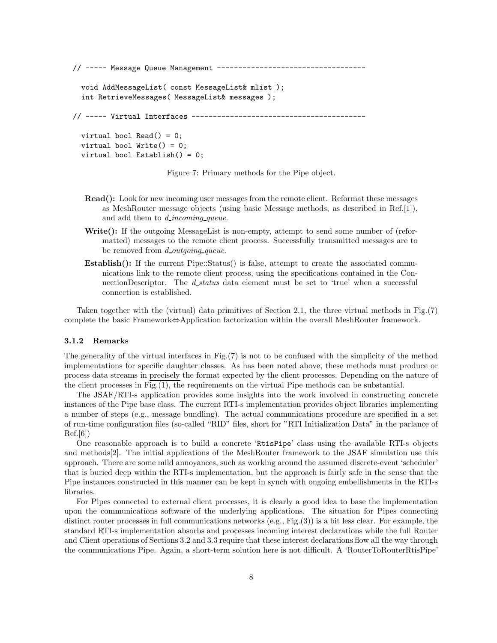// ----- Message Queue Management ----------------------------------

```
void AddMessageList( const MessageList& mlist );
int RetrieveMessages( MessageList& messages );
```
// ----- Virtual Interfaces -----------------------------------------

```
virtual bool Read() = 0;
virtual bool Write() = 0;
virtual bool Establish() = 0;
```
Figure 7: Primary methods for the Pipe object.

- Read(): Look for new incoming user messages from the remote client. Reformat these messages as MeshRouter message objects (using basic Message methods, as described in Ref.[1]), and add them to *d* incoming queue.
- Write(): If the outgoing MessageList is non-empty, attempt to send some number of (reformatted) messages to the remote client process. Successfully transmitted messages are to be removed from d\_outgoing\_queue.
- **Establish():** If the current Pipe::Status() is false, attempt to create the associated communications link to the remote client process, using the specifications contained in the ConnectionDescriptor. The *d\_status* data element must be set to 'true' when a successful connection is established.

Taken together with the (virtual) data primitives of Section 2.1, the three virtual methods in Fig.(7) complete the basic Framework⇔Application factorization within the overall MeshRouter framework.

#### 3.1.2 Remarks

The generality of the virtual interfaces in  $\text{Fig.}(7)$  is not to be confused with the simplicity of the method implementations for specific daughter classes. As has been noted above, these methods must produce or process data streams in precisely the format expected by the client processes. Depending on the nature of the client processes in Fig.(1), the requirements on the virtual Pipe methods can be substantial.

The JSAF/RTI-s application provides some insights into the work involved in constructing concrete instances of the Pipe base class. The current RTI-s implementation provides object libraries implementing a number of steps (e.g., message bundling). The actual communications procedure are specified in a set of run-time configuration files (so-called "RID" files, short for "RTI Initialization Data" in the parlance of  $\text{Ref.}[6]$ 

One reasonable approach is to build a concrete 'RtisPipe' class using the available RTI-s objects and methods[2]. The initial applications of the MeshRouter framework to the JSAF simulation use this approach. There are some mild annoyances, such as working around the assumed discrete-event 'scheduler' that is buried deep within the RTI-s implementation, but the approach is fairly safe in the sense that the Pipe instances constructed in this manner can be kept in synch with ongoing embellishments in the RTI-s libraries.

For Pipes connected to external client processes, it is clearly a good idea to base the implementation upon the communications software of the underlying applications. The situation for Pipes connecting distinct router processes in full communications networks (e.g., Fig.(3)) is a bit less clear. For example, the standard RTI-s implementation absorbs and processes incoming interest declarations while the full Router and Client operations of Sections 3.2 and 3.3 require that these interest declarations flow all the way through the communications Pipe. Again, a short-term solution here is not difficult. A 'RouterToRouterRtisPipe'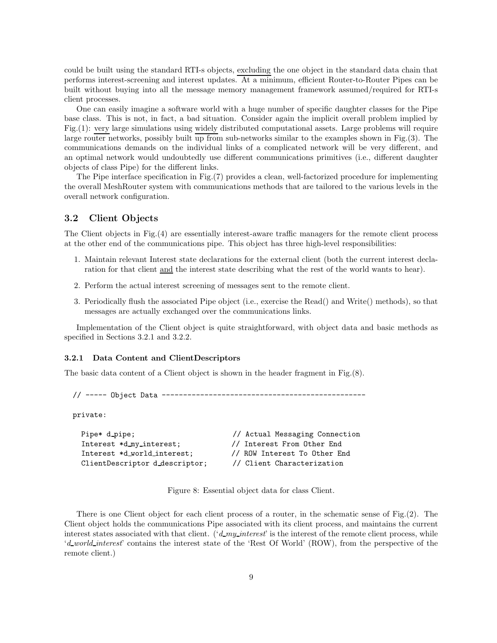could be built using the standard RTI-s objects, excluding the one object in the standard data chain that performs interest-screening and interest updates. At a minimum, efficient Router-to-Router Pipes can be built without buying into all the message memory management framework assumed/required for RTI-s client processes.

One can easily imagine a software world with a huge number of specific daughter classes for the Pipe base class. This is not, in fact, a bad situation. Consider again the implicit overall problem implied by Fig.(1): very large simulations using widely distributed computational assets. Large problems will require large router networks, possibly built up from sub-networks similar to the examples shown in Fig.(3). The communications demands on the individual links of a complicated network will be very different, and an optimal network would undoubtedly use different communications primitives (i.e., different daughter objects of class Pipe) for the different links.

The Pipe interface specification in Fig.(7) provides a clean, well-factorized procedure for implementing the overall MeshRouter system with communications methods that are tailored to the various levels in the overall network configuration.

# 3.2 Client Objects

The Client objects in Fig.(4) are essentially interest-aware traffic managers for the remote client process at the other end of the communications pipe. This object has three high-level responsibilities:

- 1. Maintain relevant Interest state declarations for the external client (both the current interest declaration for that client and the interest state describing what the rest of the world wants to hear).
- 2. Perform the actual interest screening of messages sent to the remote client.
- 3. Periodically flush the associated Pipe object (i.e., exercise the Read() and Write() methods), so that messages are actually exchanged over the communications links.

Implementation of the Client object is quite straightforward, with object data and basic methods as specified in Sections 3.2.1 and 3.2.2.

#### 3.2.1 Data Content and ClientDescriptors

The basic data content of a Client object is shown in the header fragment in Fig.(8).

// ----- Object Data ------------------------------------------------

private:

```
Pipe* d_pipe; \frac{1}{2} // Actual Messaging Connection
Interest *d my interest; // Interest From Other End
Interest *d world interest; // ROW Interest To Other End
ClientDescriptor d descriptor; // Client Characterization
```
Figure 8: Essential object data for class Client.

There is one Client object for each client process of a router, in the schematic sense of Fig.(2). The Client object holds the communications Pipe associated with its client process, and maintains the current interest states associated with that client. ( $d_m y_1$  interest' is the interest of the remote client process, while 'd world interest' contains the interest state of the 'Rest Of World' (ROW), from the perspective of the remote client.)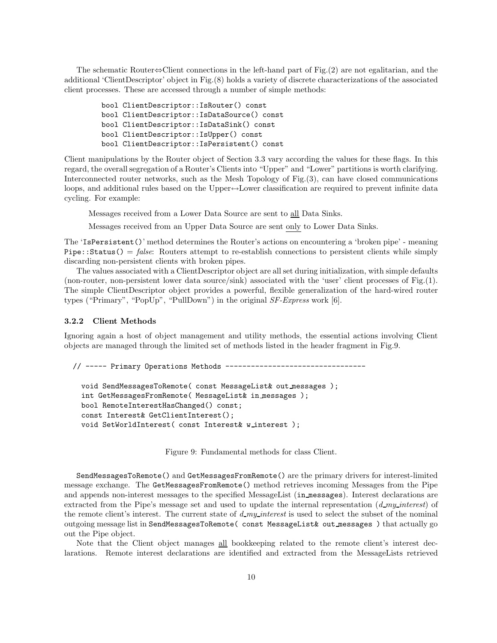The schematic Router⇔Client connections in the left-hand part of Fig.(2) are not egalitarian, and the additional 'ClientDescriptor' object in Fig.(8) holds a variety of discrete characterizations of the associated client processes. These are accessed through a number of simple methods:

bool ClientDescriptor::IsRouter() const bool ClientDescriptor::IsDataSource() const bool ClientDescriptor::IsDataSink() const bool ClientDescriptor::IsUpper() const bool ClientDescriptor::IsPersistent() const

Client manipulations by the Router object of Section 3.3 vary according the values for these flags. In this regard, the overall segregation of a Router's Clients into "Upper" and "Lower" partitions is worth clarifying. Interconnected router networks, such as the Mesh Topology of Fig.(3), can have closed communications loops, and additional rules based on the Upper↔Lower classification are required to prevent infinite data cycling. For example:

Messages received from a Lower Data Source are sent to all Data Sinks.

Messages received from an Upper Data Source are sent only to Lower Data Sinks.

The 'IsPersistent()' method determines the Router's actions on encountering a 'broken pipe' - meaning Pipe::Status() = false: Routers attempt to re-establish connections to persistent clients while simply discarding non-persistent clients with broken pipes.

The values associated with a ClientDescriptor object are all set during initialization, with simple defaults (non-router, non-persistent lower data source/sink) associated with the 'user' client processes of Fig.(1). The simple ClientDescriptor object provides a powerful, flexible generalization of the hard-wired router types ("Primary", "PopUp", "PullDown") in the original SF-Express work [6].

#### 3.2.2 Client Methods

Ignoring again a host of object management and utility methods, the essential actions involving Client objects are managed through the limited set of methods listed in the header fragment in Fig.9.

// ----- Primary Operations Methods ---------------------------------

```
void SendMessagesToRemote( const MessageList& out messages );
int GetMessagesFromRemote( MessageList& in messages );
bool RemoteInterestHasChanged() const;
const Interest& GetClientInterest();
void SetWorldInterest( const Interest& w interest );
```
Figure 9: Fundamental methods for class Client.

SendMessagesToRemote() and GetMessagesFromRemote() are the primary drivers for interest-limited message exchange. The GetMessagesFromRemote() method retrieves incoming Messages from the Pipe and appends non-interest messages to the specified MessageList (in messages). Interest declarations are extracted from the Pipe's message set and used to update the internal representation  $(d$ <sub>my</sub> interest) of the remote client's interest. The current state of  $d$ -my-interest is used to select the subset of the nominal outgoing message list in SendMessagesToRemote( const MessageList& out messages ) that actually go out the Pipe object.

Note that the Client object manages all bookkeeping related to the remote client's interest declarations. Remote interest declarations are identified and extracted from the MessageLists retrieved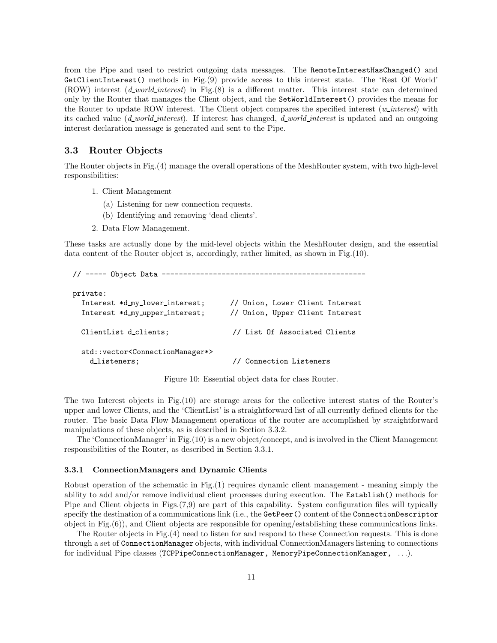from the Pipe and used to restrict outgoing data messages. The RemoteInterestHasChanged() and GetClientInterest() methods in Fig.(9) provide access to this interest state. The 'Rest Of World' (ROW) interest (*d\_world\_interest*) in Fig.(8) is a different matter. This interest state can determined only by the Router that manages the Client object, and the SetWorldInterest() provides the means for the Router to update ROW interest. The Client object compares the specified interest  $(w\text{-}interest)$  with its cached value ( $d$  world interest). If interest has changed,  $d$  world interest is updated and an outgoing interest declaration message is generated and sent to the Pipe.

### 3.3 Router Objects

The Router objects in Fig.(4) manage the overall operations of the MeshRouter system, with two high-level responsibilities:

- 1. Client Management
	- (a) Listening for new connection requests.
	- (b) Identifying and removing 'dead clients'.
- 2. Data Flow Management.

These tasks are actually done by the mid-level objects within the MeshRouter design, and the essential data content of the Router object is, accordingly, rather limited, as shown in Fig.(10).

```
// ----- Object Data ------------------------------------------------
private:
  Interest *d my lower interest; // Union, Lower Client Interest
  Interest *d my upper interest; // Union, Upper Client Interest
  ClientList d clients; // List Of Associated Clients
  std::vector<ConnectionManager*>
   d listeners; \frac{1}{2} // Connection Listeners
```
Figure 10: Essential object data for class Router.

The two Interest objects in Fig.(10) are storage areas for the collective interest states of the Router's upper and lower Clients, and the 'ClientList' is a straightforward list of all currently defined clients for the router. The basic Data Flow Management operations of the router are accomplished by straightforward manipulations of these objects, as is described in Section 3.3.2.

The 'ConnectionManager' in Fig.(10) is a new object/concept, and is involved in the Client Management responsibilities of the Router, as described in Section 3.3.1.

#### 3.3.1 ConnectionManagers and Dynamic Clients

Robust operation of the schematic in Fig.(1) requires dynamic client management - meaning simply the ability to add and/or remove individual client processes during execution. The Establish() methods for Pipe and Client objects in Figs.(7,9) are part of this capability. System configuration files will typically specify the destination of a communications link (i.e., the GetPeer() content of the ConnectionDescriptor object in Fig.(6)), and Client objects are responsible for opening/establishing these communications links.

The Router objects in Fig.(4) need to listen for and respond to these Connection requests. This is done through a set of ConnectionManager objects, with individual ConnectionManagers listening to connections for individual Pipe classes (TCPPipeConnectionManager, MemoryPipeConnectionManager, . . .).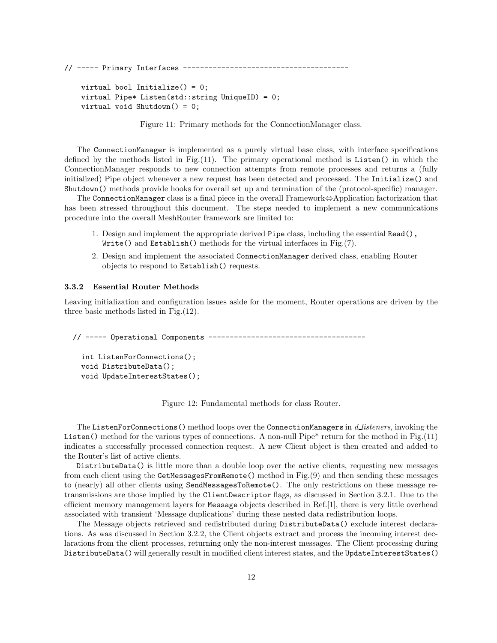// ----- Primary Interfaces -------------------------------------- virtual bool Initialize() = 0; virtual Pipe\* Listen(std::string UniqueID) = 0; virtual void Shutdown() = 0;

Figure 11: Primary methods for the ConnectionManager class.

The ConnectionManager is implemented as a purely virtual base class, with interface specifications defined by the methods listed in Fig. $(11)$ . The primary operational method is Listen() in which the ConnectionManager responds to new connection attempts from remote processes and returns a (fully initialized) Pipe object whenever a new request has been detected and processed. The Initialize() and Shutdown() methods provide hooks for overall set up and termination of the (protocol-specific) manager.

The ConnectionManager class is a final piece in the overall Framework⇔Application factorization that has been stressed throughout this document. The steps needed to implement a new communications procedure into the overall MeshRouter framework are limited to:

- 1. Design and implement the appropriate derived Pipe class, including the essential Read(), Write() and Establish() methods for the virtual interfaces in Fig.(7).
- 2. Design and implement the associated ConnectionManager derived class, enabling Router objects to respond to Establish() requests.

#### 3.3.2 Essential Router Methods

Leaving initialization and configuration issues aside for the moment, Router operations are driven by the three basic methods listed in Fig.(12).

// ----- Operational Components -------------------------------------

```
int ListenForConnections();
void DistributeData();
void UpdateInterestStates();
```
Figure 12: Fundamental methods for class Router.

The ListenForConnections () method loops over the ConnectionManagers in d\_listeners, invoking the Listen() method for the various types of connections. A non-null Pipe\* return for the method in Fig.(11) indicates a successfully processed connection request. A new Client object is then created and added to the Router's list of active clients.

DistributeData() is little more than a double loop over the active clients, requesting new messages from each client using the GetMessagesFromRemote() method in Fig.(9) and then sending these messages to (nearly) all other clients using SendMessagesToRemote(). The only restrictions on these message retransmissions are those implied by the ClientDescriptor flags, as discussed in Section 3.2.1. Due to the efficient memory management layers for Message objects described in Ref.[1], there is very little overhead associated with transient 'Message duplications' during these nested data redistribution loops.

The Message objects retrieved and redistributed during DistributeData() exclude interest declarations. As was discussed in Section 3.2.2, the Client objects extract and process the incoming interest declarations from the client processes, returning only the non-interest messages. The Client processing during DistributeData() will generally result in modified client interest states, and the UpdateInterestStates()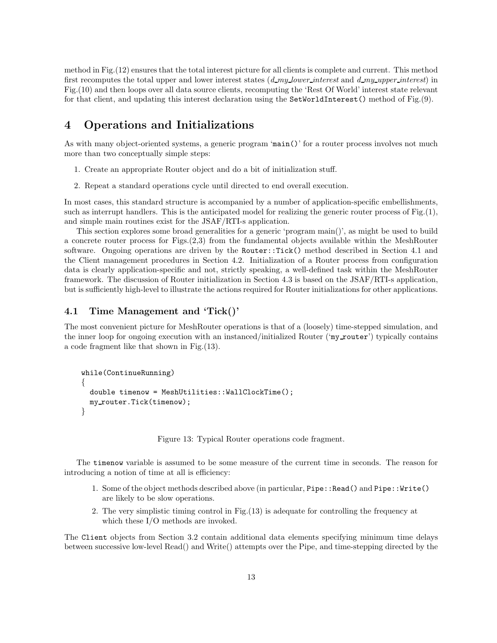method in Fig.(12) ensures that the total interest picture for all clients is complete and current. This method first recomputes the total upper and lower interest states  $(d$  my lower interest and  $d$ -my-upper interest) in Fig.(10) and then loops over all data source clients, recomputing the 'Rest Of World' interest state relevant for that client, and updating this interest declaration using the SetWorldInterest() method of Fig.(9).

# 4 Operations and Initializations

As with many object-oriented systems, a generic program 'main()' for a router process involves not much more than two conceptually simple steps:

- 1. Create an appropriate Router object and do a bit of initialization stuff.
- 2. Repeat a standard operations cycle until directed to end overall execution.

In most cases, this standard structure is accompanied by a number of application-specific embellishments, such as interrupt handlers. This is the anticipated model for realizing the generic router process of Fig.(1), and simple main routines exist for the JSAF/RTI-s application.

This section explores some broad generalities for a generic 'program main()', as might be used to build a concrete router process for Figs.(2,3) from the fundamental objects available within the MeshRouter software. Ongoing operations are driven by the Router::Tick() method described in Section 4.1 and the Client management procedures in Section 4.2. Initialization of a Router process from configuration data is clearly application-specific and not, strictly speaking, a well-defined task within the MeshRouter framework. The discussion of Router initialization in Section 4.3 is based on the JSAF/RTI-s application, but is sufficiently high-level to illustrate the actions required for Router initializations for other applications.

### 4.1 Time Management and 'Tick()'

The most convenient picture for MeshRouter operations is that of a (loosely) time-stepped simulation, and the inner loop for ongoing execution with an instanced/initialized Router ('my\_router') typically contains a code fragment like that shown in Fig.(13).

```
while(ContinueRunning)
{
  double timenow = MeshUtilities::WallClockTime();
 my router.Tick(timenow);
}
```
Figure 13: Typical Router operations code fragment.

The timenow variable is assumed to be some measure of the current time in seconds. The reason for introducing a notion of time at all is efficiency:

- 1. Some of the object methods described above (in particular, Pipe::Read() and Pipe::Write() are likely to be slow operations.
- 2. The very simplistic timing control in Fig.(13) is adequate for controlling the frequency at which these I/O methods are invoked.

The Client objects from Section 3.2 contain additional data elements specifying minimum time delays between successive low-level Read() and Write() attempts over the Pipe, and time-stepping directed by the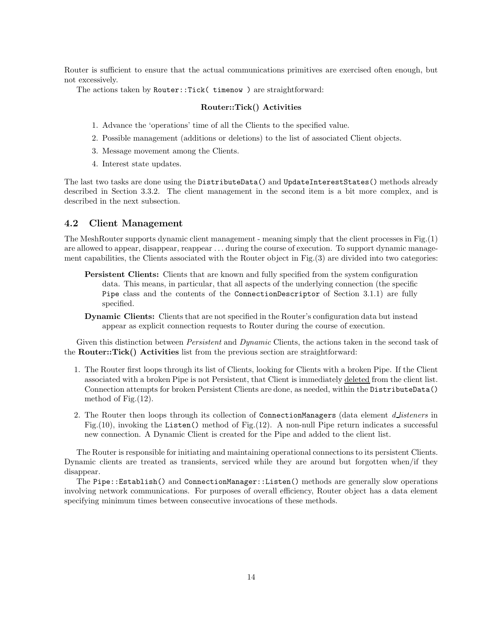Router is sufficient to ensure that the actual communications primitives are exercised often enough, but not excessively.

The actions taken by Router::Tick( timenow ) are straightforward:

#### Router::Tick() Activities

- 1. Advance the 'operations' time of all the Clients to the specified value.
- 2. Possible management (additions or deletions) to the list of associated Client objects.
- 3. Message movement among the Clients.
- 4. Interest state updates.

The last two tasks are done using the DistributeData() and UpdateInterestStates() methods already described in Section 3.3.2. The client management in the second item is a bit more complex, and is described in the next subsection.

# 4.2 Client Management

The MeshRouter supports dynamic client management - meaning simply that the client processes in Fig.(1) are allowed to appear, disappear, reappear . . . during the course of execution. To support dynamic management capabilities, the Clients associated with the Router object in Fig.(3) are divided into two categories:

- Persistent Clients: Clients that are known and fully specified from the system configuration data. This means, in particular, that all aspects of the underlying connection (the specific Pipe class and the contents of the ConnectionDescriptor of Section 3.1.1) are fully specified.
- Dynamic Clients: Clients that are not specified in the Router's configuration data but instead appear as explicit connection requests to Router during the course of execution.

Given this distinction between *Persistent* and *Dynamic* Clients, the actions taken in the second task of the Router::Tick() Activities list from the previous section are straightforward:

- 1. The Router first loops through its list of Clients, looking for Clients with a broken Pipe. If the Client associated with a broken Pipe is not Persistent, that Client is immediately deleted from the client list. Connection attempts for broken Persistent Clients are done, as needed, within the DistributeData() method of Fig.(12).
- 2. The Router then loops through its collection of ConnectionManagers (data element d listeners in Fig.(10), invoking the Listen() method of Fig.(12). A non-null Pipe return indicates a successful new connection. A Dynamic Client is created for the Pipe and added to the client list.

The Router is responsible for initiating and maintaining operational connections to its persistent Clients. Dynamic clients are treated as transients, serviced while they are around but forgotten when/if they disappear.

The Pipe::Establish() and ConnectionManager::Listen() methods are generally slow operations involving network communications. For purposes of overall efficiency, Router object has a data element specifying minimum times between consecutive invocations of these methods.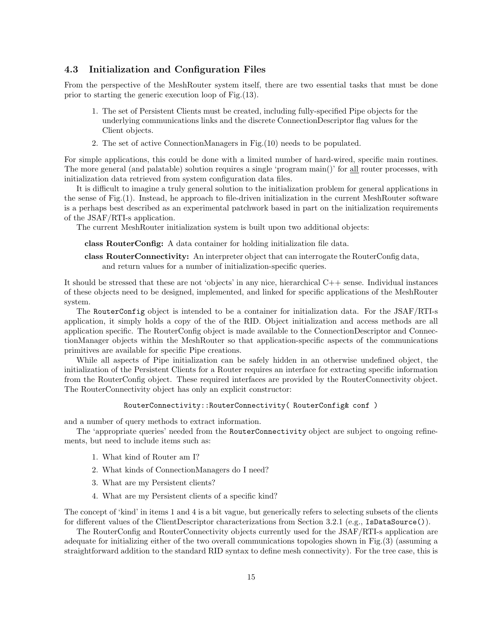### 4.3 Initialization and Configuration Files

From the perspective of the MeshRouter system itself, there are two essential tasks that must be done prior to starting the generic execution loop of Fig.(13).

- 1. The set of Persistent Clients must be created, including fully-specified Pipe objects for the underlying communications links and the discrete ConnectionDescriptor flag values for the Client objects.
- 2. The set of active ConnectionManagers in Fig.(10) needs to be populated.

For simple applications, this could be done with a limited number of hard-wired, specific main routines. The more general (and palatable) solution requires a single 'program main()' for all router processes, with initialization data retrieved from system configuration data files.

It is difficult to imagine a truly general solution to the initialization problem for general applications in the sense of Fig.(1). Instead, he approach to file-driven initialization in the current MeshRouter software is a perhaps best described as an experimental patchwork based in part on the initialization requirements of the JSAF/RTI-s application.

The current MeshRouter initialization system is built upon two additional objects:

class RouterConfig: A data container for holding initialization file data.

class RouterConnectivity: An interpreter object that can interrogate the RouterConfig data, and return values for a number of initialization-specific queries.

It should be stressed that these are not 'objects' in any nice, hierarchical C++ sense. Individual instances of these objects need to be designed, implemented, and linked for specific applications of the MeshRouter system.

The RouterConfig object is intended to be a container for initialization data. For the JSAF/RTI-s application, it simply holds a copy of the of the RID. Object initialization and access methods are all application specific. The RouterConfig object is made available to the ConnectionDescriptor and ConnectionManager objects within the MeshRouter so that application-specific aspects of the communications primitives are available for specific Pipe creations.

While all aspects of Pipe initialization can be safely hidden in an otherwise undefined object, the initialization of the Persistent Clients for a Router requires an interface for extracting specific information from the RouterConfig object. These required interfaces are provided by the RouterConnectivity object. The RouterConnectivity object has only an explicit constructor:

#### RouterConnectivity::RouterConnectivity( RouterConfig& conf )

and a number of query methods to extract information.

The 'appropriate queries' needed from the RouterConnectivity object are subject to ongoing refinements, but need to include items such as:

- 1. What kind of Router am I?
- 2. What kinds of ConnectionManagers do I need?
- 3. What are my Persistent clients?
- 4. What are my Persistent clients of a specific kind?

The concept of 'kind' in items 1 and 4 is a bit vague, but generically refers to selecting subsets of the clients for different values of the ClientDescriptor characterizations from Section 3.2.1 (e.g., IsDataSource()).

The RouterConfig and RouterConnectivity objects currently used for the JSAF/RTI-s application are adequate for initializing either of the two overall communications topologies shown in Fig.(3) (assuming a straightforward addition to the standard RID syntax to define mesh connectivity). For the tree case, this is